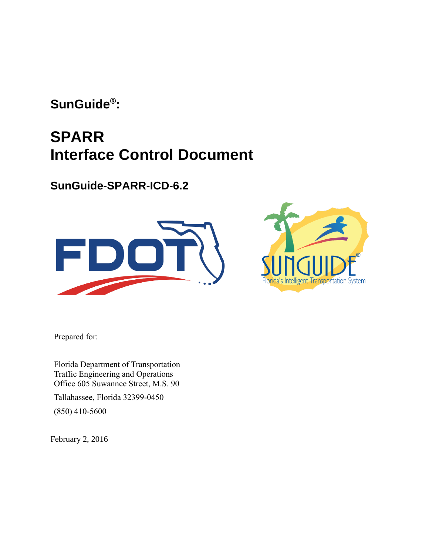**SunGuide® :**

# **SPARR Interface Control Document**

**SunGuide-SPARR-ICD-6.2**





Prepared for:

Florida Department of Transportation Traffic Engineering and Operations Office 605 Suwannee Street, M.S. 90

Tallahassee, Florida 32399-0450 (850) 410-5600

February 2, 2016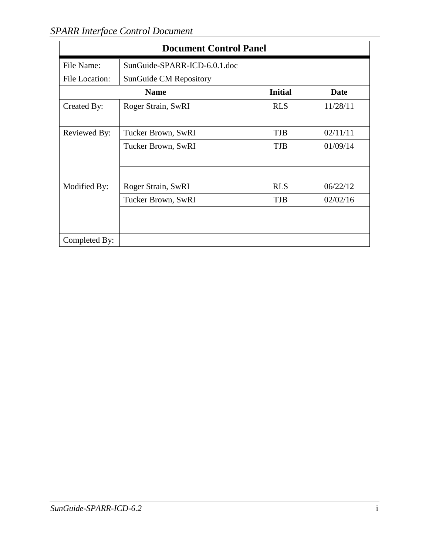| <b>Document Control Panel</b> |                                       |            |          |
|-------------------------------|---------------------------------------|------------|----------|
| File Name:                    | SunGuide-SPARR-ICD-6.0.1.doc          |            |          |
| File Location:                | <b>SunGuide CM Repository</b>         |            |          |
|                               | <b>Initial</b><br>Date<br><b>Name</b> |            |          |
| Created By:                   | Roger Strain, SwRI                    | <b>RLS</b> | 11/28/11 |
|                               |                                       |            |          |
| Reviewed By:                  | Tucker Brown, SwRI                    | <b>TJB</b> | 02/11/11 |
|                               | Tucker Brown, SwRI                    | <b>TJB</b> | 01/09/14 |
|                               |                                       |            |          |
|                               |                                       |            |          |
| Modified By:                  | Roger Strain, SwRI                    | <b>RLS</b> | 06/22/12 |
|                               | Tucker Brown, SwRI                    | <b>TJB</b> | 02/02/16 |
|                               |                                       |            |          |
|                               |                                       |            |          |
| Completed By:                 |                                       |            |          |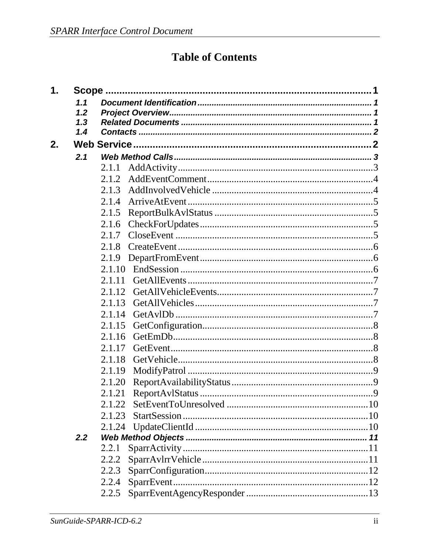# **Table of Contents**

| $\mathbf 1$ . |     |        |  |
|---------------|-----|--------|--|
|               | 1.1 |        |  |
|               | 1.2 |        |  |
|               | 1.3 |        |  |
|               | 1.4 |        |  |
| 2.            |     |        |  |
|               | 2.1 |        |  |
|               |     | 2.1.1  |  |
|               |     | 2.1.2  |  |
|               |     | 2.1.3  |  |
|               |     | 2.1.4  |  |
|               |     | 2.1.5  |  |
|               |     | 2.1.6  |  |
|               |     | 2.1.7  |  |
|               |     | 2.1.8  |  |
|               |     | 2.1.9  |  |
|               |     | 2.1.10 |  |
|               |     | 2.1.11 |  |
|               |     | 2.1.12 |  |
|               |     | 2.1.13 |  |
|               |     | 2.1.14 |  |
|               |     | 2.1.15 |  |
|               |     | 2.1.16 |  |
|               |     | 2.1.17 |  |
|               |     | 2.1.18 |  |
|               |     | 2.1.19 |  |
|               |     | 2.1.20 |  |
|               |     | 2.1.21 |  |
|               |     | 2.1.22 |  |
|               |     | 2.1.23 |  |
|               |     |        |  |
|               | 2.2 |        |  |
|               |     | 2.2.1  |  |
|               |     | 2.2.2  |  |
|               |     | 2.2.3  |  |
|               |     | 2.2.4  |  |
|               |     | 2.2.5  |  |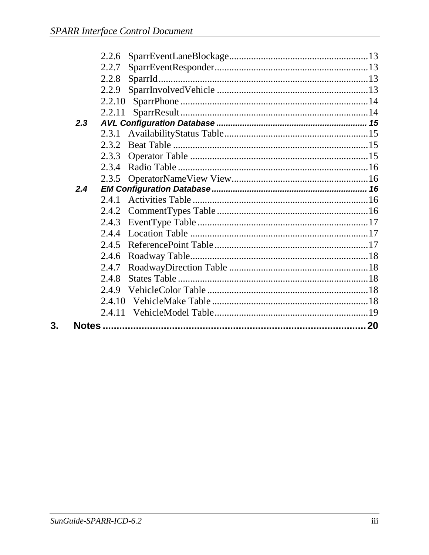|     | 2.2.6  |  |
|-----|--------|--|
|     | 2.2.7  |  |
|     | 2.2.8  |  |
|     | 2.2.9  |  |
|     | 2.2.10 |  |
|     | 2.2.11 |  |
| 2.3 |        |  |
|     | 2.3.1  |  |
|     | 2.3.2  |  |
|     | 2.3.3  |  |
|     | 2.3.4  |  |
|     | 2.3.5  |  |
| 2.4 |        |  |
|     | 2.4.1  |  |
|     | 2.4.2  |  |
|     | 2.4.3  |  |
|     | 2.4.4  |  |
|     | 2.4.5  |  |
|     | 2.4.6  |  |
|     | 2.4.7  |  |
|     | 2.4.8  |  |
|     | 2.4.9  |  |
|     | 2.4.10 |  |
|     | 2.4.11 |  |
|     |        |  |
|     |        |  |

 $3.$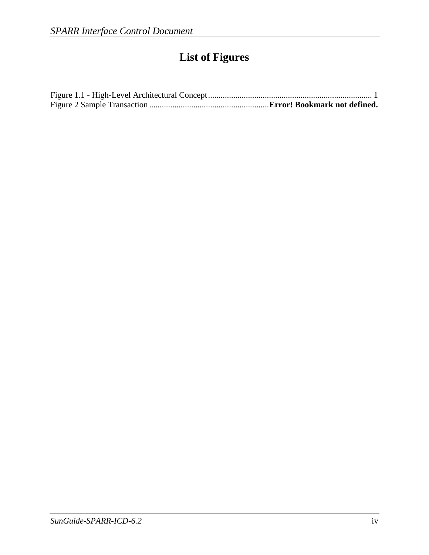# **List of Figures**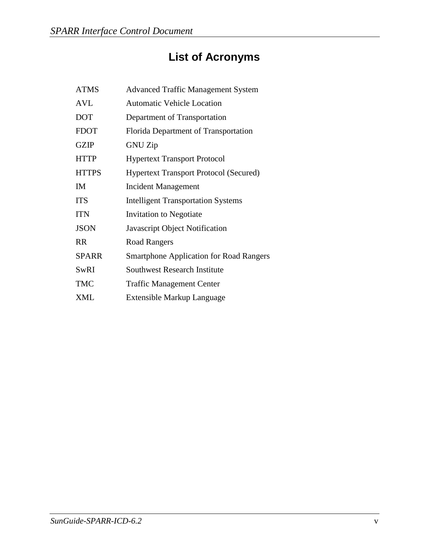# **List of Acronyms**

| <b>ATMS</b>  | <b>Advanced Traffic Management System</b>      |
|--------------|------------------------------------------------|
| <b>AVL</b>   | <b>Automatic Vehicle Location</b>              |
| <b>DOT</b>   | Department of Transportation                   |
| <b>FDOT</b>  | Florida Department of Transportation           |
| <b>GZIP</b>  | <b>GNU Zip</b>                                 |
| <b>HTTP</b>  | <b>Hypertext Transport Protocol</b>            |
| <b>HTTPS</b> | <b>Hypertext Transport Protocol (Secured)</b>  |
| IM           | <b>Incident Management</b>                     |
| <b>ITS</b>   | <b>Intelligent Transportation Systems</b>      |
| <b>ITN</b>   | Invitation to Negotiate                        |
| <b>JSON</b>  | Javascript Object Notification                 |
| <b>RR</b>    | <b>Road Rangers</b>                            |
| <b>SPARR</b> | <b>Smartphone Application for Road Rangers</b> |
| SwRI         | <b>Southwest Research Institute</b>            |
| <b>TMC</b>   | <b>Traffic Management Center</b>               |
| <b>XML</b>   | Extensible Markup Language                     |
|              |                                                |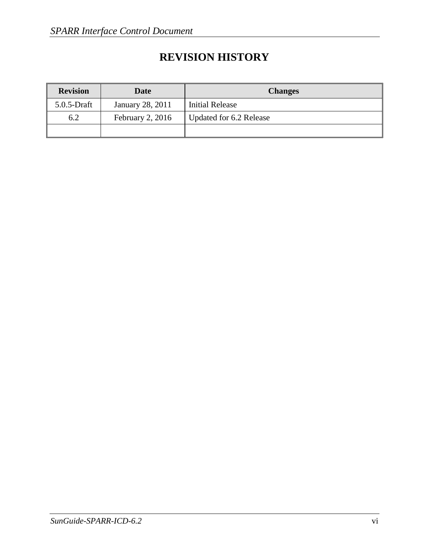## **REVISION HISTORY**

| <b>Revision</b> | Date             | <b>Changes</b>          |
|-----------------|------------------|-------------------------|
| $5.0.5$ -Draft  | January 28, 2011 | <b>Initial Release</b>  |
| 6.2             | February 2, 2016 | Updated for 6.2 Release |
|                 |                  |                         |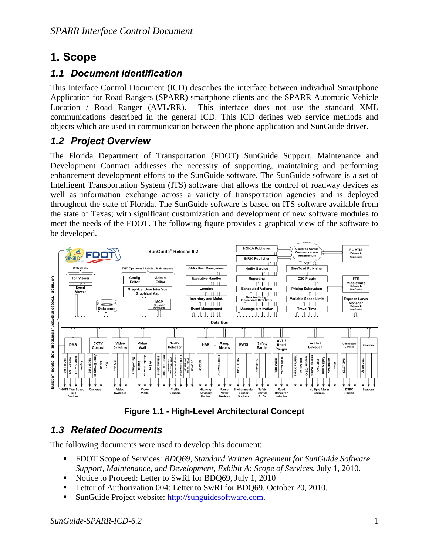## <span id="page-7-0"></span>**1. Scope**

## <span id="page-7-1"></span>*1.1 Document Identification*

This Interface Control Document (ICD) describes the interface between individual Smartphone Application for Road Rangers (SPARR) smartphone clients and the SPARR Automatic Vehicle Location / Road Ranger (AVL/RR). This interface does not use the standard XML communications described in the general ICD. This ICD defines web service methods and objects which are used in communication between the phone application and SunGuide driver.

## <span id="page-7-2"></span>*1.2 Project Overview*

The Florida Department of Transportation (FDOT) SunGuide Support, Maintenance and Development Contract addresses the necessity of supporting, maintaining and performing enhancement development efforts to the SunGuide software. The SunGuide software is a set of Intelligent Transportation System (ITS) software that allows the control of roadway devices as well as information exchange across a variety of transportation agencies and is deployed throughout the state of Florida. The SunGuide software is based on ITS software available from the state of Texas; with significant customization and development of new software modules to meet the needs of the FDOT. The following figure provides a graphical view of the software to be developed.



**Figure 1.1 - High-Level Architectural Concept**

## <span id="page-7-4"></span><span id="page-7-3"></span>*1.3 Related Documents*

The following documents were used to develop this document:

- FDOT Scope of Services: *BDQ69, Standard Written Agreement for SunGuide Software Support, Maintenance, and Development, Exhibit A: Scope of Services.* July 1, 2010.
- Notice to Proceed: Letter to SwRI for BDQ69, July 1, 2010
- Letter of Authorization 004: Letter to SwRI for BDQ69, October 20, 2010.
- SunGuide Project website: [http://sunguidesoftware.com.](http://sunguidesoftware.com/)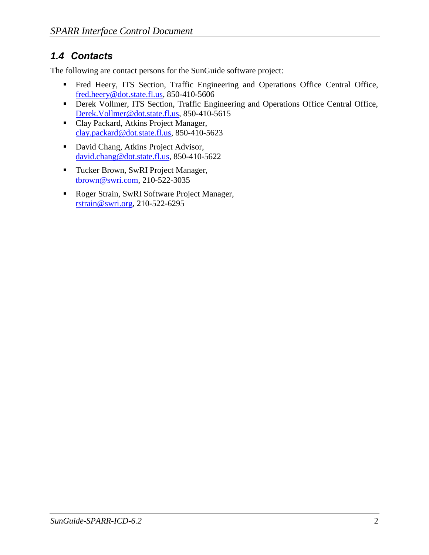## <span id="page-8-0"></span>*1.4 Contacts*

<span id="page-8-1"></span>The following are contact persons for the SunGuide software project:

- Fred Heery, ITS Section, Traffic Engineering and Operations Office Central Office, [fred.heery@dot.state.fl.us,](mailto:fred.heery@dot.state.fl.us) 850-410-5606
- **Derek Vollmer, ITS Section, Traffic Engineering and Operations Office Central Office,** [Derek.Vollmer@dot.state.fl.us,](mailto:Derek.Vollmer@dot.state.fl.us) 850-410-5615
- Clay Packard, Atkins Project Manager, [clay.packard@dot.](mailto:clay.packard@dot)state.fl.us, 850-410-5623
- David Chang, Atkins Project Advisor, [david.chang@dot.state.fl.us,](mailto:david.chang@dot.state.fl.us) 850-410-5622
- Tucker Brown, SwRI Project Manager, [tbrown@swri.com,](mailto:tbrown@swri.com) 210-522-3035
- Roger Strain, SwRI Software Project Manager, [rstrain@swri.org,](mailto:rstrain@swri.org) 210-522-6295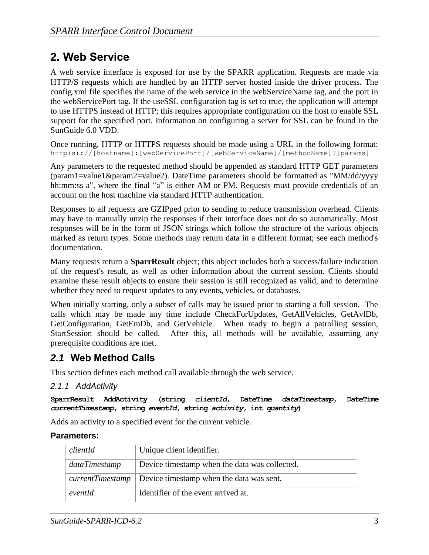## **2. Web Service**

A web service interface is exposed for use by the SPARR application. Requests are made via HTTP/S requests which are handled by an HTTP server hosted inside the driver process. The config.xml file specifies the name of the web service in the webServiceName tag, and the port in the webServicePort tag. If the useSSL configuration tag is set to true, the application will attempt to use HTTPS instead of HTTP; this requires appropriate configuration on the host to enable SSL support for the specified port. Information on configuring a server for SSL can be found in the SunGuide 6.0 VDD.

Once running, HTTP or HTTPS requests should be made using a URL in the following format: http(s)://[hostname]:[webServicePort]/[webServiceName]/[methodName]?[params]

Any parameters to the requested method should be appended as standard HTTP GET parameters  $(param1 = value1&param2 = value2)$ . DateTime parameters should be formatted as "MM/dd/yyyy hh:mm:ss a", where the final "a" is either AM or PM. Requests must provide credentials of an account on the host machine via standard HTTP authentication.

Responses to all requests are GZIPped prior to sending to reduce transmission overhead. Clients may have to manually unzip the responses if their interface does not do so automatically. Most responses will be in the form of JSON strings which follow the structure of the various objects marked as return types. Some methods may return data in a different format; see each method's documentation.

Many requests return a **SparrResult** object; this object includes both a success/failure indication of the request's result, as well as other information about the current session. Clients should examine these result objects to ensure their session is still recognized as valid, and to determine whether they need to request updates to any events, vehicles, or databases.

When initially starting, only a subset of calls may be issued prior to starting a full session. The calls which may be made any time include CheckForUpdates, GetAllVehicles, GetAvlDb, GetConfiguration, GetEmDb, and GetVehicle. When ready to begin a patrolling session, StartSession should be called. After this, all methods will be available, assuming any prerequisite conditions are met.

## <span id="page-9-0"></span>*2.1* **Web Method Calls**

This section defines each method call available through the web service.

## <span id="page-9-1"></span>*2.1.1 AddActivity*

**SparrResult AddActivity (string** *clientId***, DateTime** *dataTimestamp***, DateTime**  *currentTimestamp***, string** *eventId***, string** *activity***, int** *quantity***)**

Adds an activity to a specified event for the current vehicle.

## **Parameters:**

| clientId      | Unique client identifier.                                          |
|---------------|--------------------------------------------------------------------|
| dataTimestamp | Device timestamp when the data was collected.                      |
|               | <i>currentTimestamp</i>   Device timestamp when the data was sent. |
| eventId       | Identifier of the event arrived at.                                |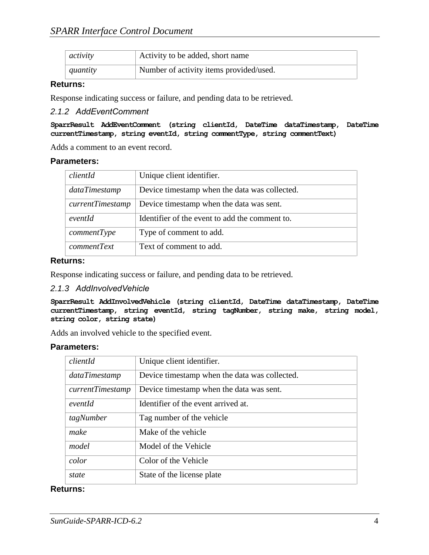| activity | Activity to be added, short name        |
|----------|-----------------------------------------|
| quantity | Number of activity items provided/used. |

#### **Returns:**

Response indicating success or failure, and pending data to be retrieved.

#### <span id="page-10-0"></span>*2.1.2 AddEventComment*

**SparrResult AddEventComment (string clientId, DateTime dataTimestamp, DateTime currentTimestamp, string eventId, string commentType, string commentText)**

Adds a comment to an event record.

#### **Parameters:**

| clientId                   | Unique client identifier.                      |
|----------------------------|------------------------------------------------|
| dataTimestamp              | Device timestamp when the data was collected.  |
| $currentT$ <i>imestamp</i> | Device timestamp when the data was sent.       |
| eventId                    | Identifier of the event to add the comment to. |
| commentType                | Type of comment to add.                        |
| commentText                | Text of comment to add.                        |

#### **Returns:**

Response indicating success or failure, and pending data to be retrieved.

#### <span id="page-10-1"></span>*2.1.3 AddInvolvedVehicle*

**SparrResult AddInvolvedVehicle (string clientId, DateTime dataTimestamp, DateTime currentTimestamp, string eventId, string tagNumber, string make, string model, string color, string state)**

Adds an involved vehicle to the specified event.

#### **Parameters:**

| clientId         | Unique client identifier.                     |
|------------------|-----------------------------------------------|
| dataTimestamp    | Device timestamp when the data was collected. |
| currentTimestamp | Device timestamp when the data was sent.      |
| eventId          | Identifier of the event arrived at.           |
| tagNumber        | Tag number of the vehicle                     |
| make             | Make of the vehicle                           |
| model            | Model of the Vehicle                          |
| color            | Color of the Vehicle                          |
| state            | State of the license plate                    |

#### **Returns:**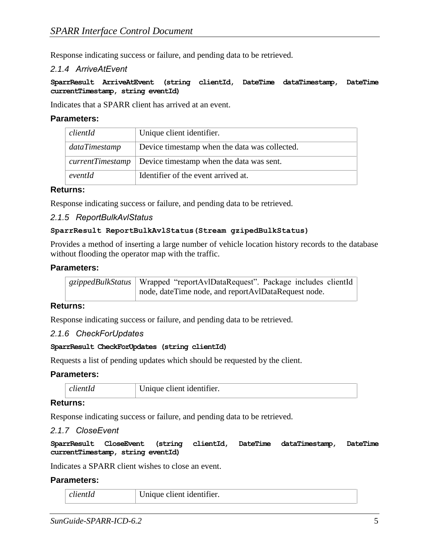Response indicating success or failure, and pending data to be retrieved.

#### <span id="page-11-0"></span>*2.1.4 ArriveAtEvent*

**SparrResult ArriveAtEvent (string clientId, DateTime dataTimestamp, DateTime currentTimestamp, string eventId)**

Indicates that a SPARR client has arrived at an event.

#### **Parameters:**

| clientId      | Unique client identifier.                                          |
|---------------|--------------------------------------------------------------------|
| dataTimestamp | Device timestamp when the data was collected.                      |
|               | <i>currentTimestamp</i>   Device timestamp when the data was sent. |
| eventId       | Identifier of the event arrived at.                                |

#### **Returns:**

Response indicating success or failure, and pending data to be retrieved.

#### <span id="page-11-1"></span>*2.1.5 ReportBulkAvlStatus*

#### **SparrResult ReportBulkAvlStatus(Stream gzipedBulkStatus)**

Provides a method of inserting a large number of vehicle location history records to the database without flooding the operator map with the traffic.

#### **Parameters:**

| gzippedBulkStatus   Wrapped "reportAvlDataRequest". Package includes clientId |
|-------------------------------------------------------------------------------|
| node, dateTime node, and reportAvlDataRequest node.                           |

#### **Returns:**

Response indicating success or failure, and pending data to be retrieved.

#### <span id="page-11-2"></span>*2.1.6 CheckForUpdates*

#### **SparrResult CheckForUpdates (string clientId)**

Requests a list of pending updates which should be requested by the client.

#### **Parameters:**

| $- -$ | $\cdots$<br>er.<br>,,,,,,,,,,,,,,,,,,, |  |
|-------|----------------------------------------|--|
|-------|----------------------------------------|--|

#### **Returns:**

Response indicating success or failure, and pending data to be retrieved.

#### <span id="page-11-3"></span>*2.1.7 CloseEvent*

**SparrResult CloseEvent (string clientId, DateTime dataTimestamp, DateTime currentTimestamp, string eventId)**

Indicates a SPARR client wishes to close an event.

#### **Parameters:**

| пенни - | Inique client identifier. |
|---------|---------------------------|
|---------|---------------------------|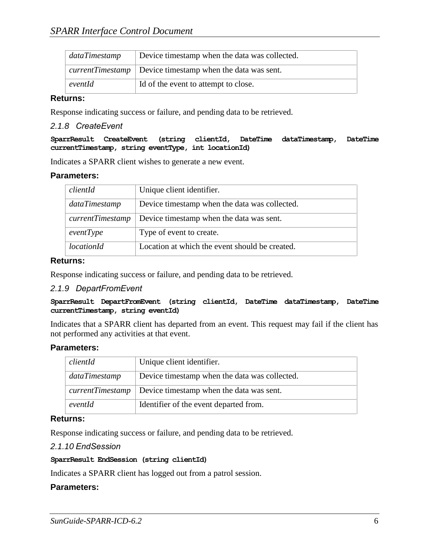| dataTimestamp | Device timestamp when the data was collected.                      |
|---------------|--------------------------------------------------------------------|
|               | <i>currentTimestamp</i>   Device timestamp when the data was sent. |
| eventId       | Id of the event to attempt to close.                               |

#### **Returns:**

Response indicating success or failure, and pending data to be retrieved.

#### <span id="page-12-0"></span>*2.1.8 CreateEvent*

**SparrResult CreateEvent (string clientId, DateTime dataTimestamp, DateTime currentTimestamp, string eventType, int locationId)**

Indicates a SPARR client wishes to generate a new event.

#### **Parameters:**

| clientId          | Unique client identifier.                      |
|-------------------|------------------------------------------------|
|                   |                                                |
| dataTimestamp     | Device timestamp when the data was collected.  |
|                   |                                                |
| currentTimestamp  | Device timestamp when the data was sent.       |
|                   |                                                |
| eventType         | Type of event to create.                       |
|                   |                                                |
| <i>locationId</i> | Location at which the event should be created. |
|                   |                                                |

#### **Returns:**

Response indicating success or failure, and pending data to be retrieved.

#### <span id="page-12-1"></span>*2.1.9 DepartFromEvent*

#### **SparrResult DepartFromEvent (string clientId, DateTime dataTimestamp, DateTime currentTimestamp, string eventId)**

Indicates that a SPARR client has departed from an event. This request may fail if the client has not performed any activities at that event.

#### **Parameters:**

| clientId         | Unique client identifier.                     |
|------------------|-----------------------------------------------|
| dataTimestamp    | Device timestamp when the data was collected. |
| currentTimestamp | Device timestamp when the data was sent.      |
| eventId          | Identifier of the event departed from.        |

#### **Returns:**

Response indicating success or failure, and pending data to be retrieved.

#### <span id="page-12-2"></span>*2.1.10 EndSession*

#### **SparrResult EndSession (string clientId)**

Indicates a SPARR client has logged out from a patrol session.

#### **Parameters:**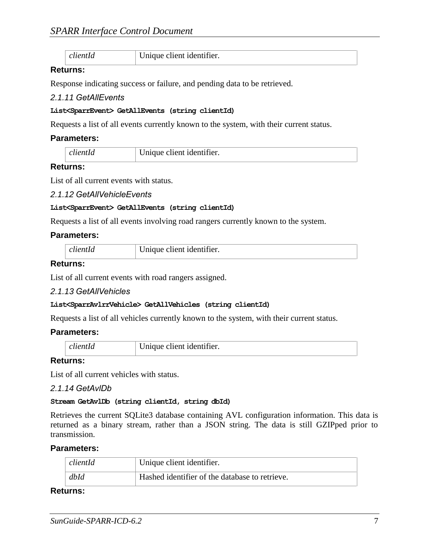| clientId<br>Unique client identifier. |  |
|---------------------------------------|--|
|---------------------------------------|--|

#### **Returns:**

Response indicating success or failure, and pending data to be retrieved.

#### <span id="page-13-0"></span>*2.1.11 GetAllEvents*

#### **List<SparrEvent> GetAllEvents (string clientId)**

Requests a list of all events currently known to the system, with their current status.

#### **Parameters:**

| clientId | Unique client identifier. |
|----------|---------------------------|

#### **Returns:**

List of all current events with status.

#### <span id="page-13-1"></span>*2.1.12 GetAllVehicleEvents*

#### **List<SparrEvent> GetAllEvents (string clientId)**

Requests a list of all events involving road rangers currently known to the system.

#### **Parameters:**

|  | Unique client identifier. |
|--|---------------------------|
|--|---------------------------|

#### **Returns:**

List of all current events with road rangers assigned.

#### <span id="page-13-2"></span>*2.1.13 GetAllVehicles*

#### **List<SparrAvlrrVehicle> GetAllVehicles (string clientId)**

Requests a list of all vehicles currently known to the system, with their current status.

#### **Parameters:**

#### **Returns:**

List of all current vehicles with status.

#### <span id="page-13-3"></span>*2.1.14 GetAvlDb*

#### **Stream GetAvlDb (string clientId, string dbId)**

Retrieves the current SQLite3 database containing AVL configuration information. This data is returned as a binary stream, rather than a JSON string. The data is still GZIPped prior to transmission.

#### **Parameters:**

| clientId | Unique client identifier.                      |
|----------|------------------------------------------------|
| dbId     | Hashed identifier of the database to retrieve. |

#### **Returns:**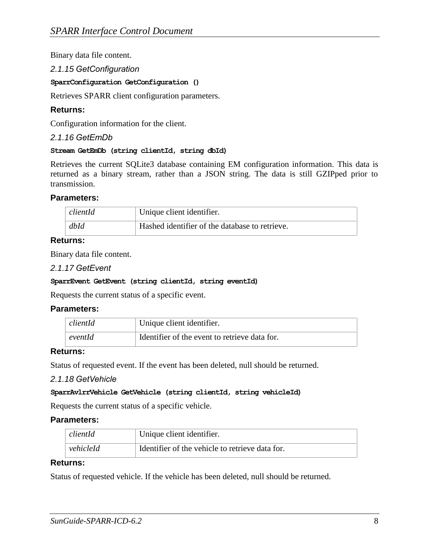Binary data file content.

#### <span id="page-14-0"></span>*2.1.15 GetConfiguration*

#### **SparrConfiguration GetConfiguration ()**

Retrieves SPARR client configuration parameters.

#### **Returns:**

Configuration information for the client.

#### <span id="page-14-1"></span>*2.1.16 GetEmDb*

#### **Stream GetEmDb (string clientId, string dbId)**

Retrieves the current SQLite3 database containing EM configuration information. This data is returned as a binary stream, rather than a JSON string. The data is still GZIPped prior to transmission.

#### **Parameters:**

| $\vert$ clientId | Unique client identifier.                      |
|------------------|------------------------------------------------|
| dbId             | Hashed identifier of the database to retrieve. |

#### **Returns:**

Binary data file content.

#### <span id="page-14-2"></span>*2.1.17 GetEvent*

#### **SparrEvent GetEvent (string clientId, string eventId)**

Requests the current status of a specific event.

#### **Parameters:**

| clientId | Unique client identifier.                     |
|----------|-----------------------------------------------|
| eventId  | Identifier of the event to retrieve data for. |

#### **Returns:**

Status of requested event. If the event has been deleted, null should be returned.

#### <span id="page-14-3"></span>*2.1.18 GetVehicle*

#### **SparrAvlrrVehicle GetVehicle (string clientId, string vehicleId)**

Requests the current status of a specific vehicle.

#### **Parameters:**

| clientId  | Unique client identifier.                       |
|-----------|-------------------------------------------------|
| vehicleId | Identifier of the vehicle to retrieve data for. |

#### **Returns:**

Status of requested vehicle. If the vehicle has been deleted, null should be returned.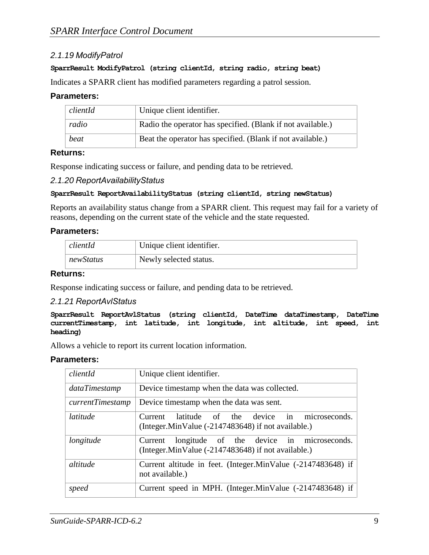### <span id="page-15-0"></span>*2.1.19 ModifyPatrol*

#### **SparrResult ModifyPatrol (string clientId, string radio, string beat)**

Indicates a SPARR client has modified parameters regarding a patrol session.

#### **Parameters:**

| clientId | Unique client identifier.                                   |
|----------|-------------------------------------------------------------|
| radio    | Radio the operator has specified. (Blank if not available.) |
| beat     | Beat the operator has specified. (Blank if not available.)  |

#### **Returns:**

Response indicating success or failure, and pending data to be retrieved.

#### <span id="page-15-1"></span>*2.1.20 ReportAvailabilityStatus*

#### **SparrResult ReportAvailabilityStatus (string clientId, string newStatus)**

Reports an availability status change from a SPARR client. This request may fail for a variety of reasons, depending on the current state of the vehicle and the state requested.

#### **Parameters:**

| clientId  | Unique client identifier. |
|-----------|---------------------------|
| newStatus | Newly selected status.    |

#### **Returns:**

Response indicating success or failure, and pending data to be retrieved.

#### <span id="page-15-2"></span>*2.1.21 ReportAvlStatus*

**SparrResult ReportAvlStatus (string clientId, DateTime dataTimestamp, DateTime currentTimestamp, int latitude, int longitude, int altitude, int speed, int heading)**

Allows a vehicle to report its current location information.

#### **Parameters:**

| clientId         | Unique client identifier.                                                                                 |
|------------------|-----------------------------------------------------------------------------------------------------------|
| dataTimestamp    | Device timestamp when the data was collected.                                                             |
| currentTimestamp | Device timestamp when the data was sent.                                                                  |
| latitude         | latitude of the device in microseconds.<br>Current<br>(Integer.MinValue (-2147483648) if not available.)  |
| longitude        | longitude of the device in microseconds.<br>Current<br>(Integer.MinValue (-2147483648) if not available.) |
| altitude         | Current altitude in feet. (Integer.MinValue (-2147483648) if<br>not available.)                           |
| speed            | Current speed in MPH. (Integer.MinValue (-2147483648) if                                                  |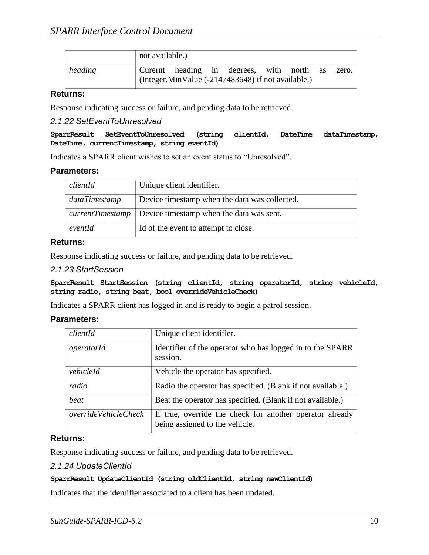|         | not available.) |  |                                                    |  |           |       |
|---------|-----------------|--|----------------------------------------------------|--|-----------|-------|
| heading |                 |  | Curernt heading in degrees, with north             |  | $\sim$ as | zero. |
|         |                 |  | (Integer.MinValue (-2147483648) if not available.) |  |           |       |

#### **Returns:**

Response indicating success or failure, and pending data to be retrieved.

#### <span id="page-16-0"></span>*2.1.22 SetEventToUnresolved*

**SparrResult SetEventToUnresolved (string clientId, DateTime dataTimestamp, DateTime, currentTimestamp, string eventId)**

<span id="page-16-1"></span>Indicates a SPARR client wishes to set an event status to "Unresolved".

#### **Parameters:**

| clientId      | Unique client identifier.                                          |
|---------------|--------------------------------------------------------------------|
| dataTimestamp | Device timestamp when the data was collected.                      |
|               | <i>currentTimestamp</i>   Device timestamp when the data was sent. |
| eventId       | Id of the event to attempt to close.                               |

### **Returns:**

Response indicating success or failure, and pending data to be retrieved.

#### *2.1.23 StartSession*

**SparrResult StartSession (string clientId, string operatorId, string vehicleId, string radio, string beat, bool overrideVehicleCheck)**

Indicates a SPARR client has logged in and is ready to begin a patrol session.

#### **Parameters:**

| clientId                    | Unique client identifier.                                                                  |
|-----------------------------|--------------------------------------------------------------------------------------------|
| operatorId                  | Identifier of the operator who has logged in to the SPARR<br>session.                      |
| vehicleId                   | Vehicle the operator has specified.                                                        |
| radio                       | Radio the operator has specified. (Blank if not available.)                                |
| beat                        | Beat the operator has specified. (Blank if not available.)                                 |
| <i>overrideVehicleCheck</i> | If true, override the check for another operator already<br>being assigned to the vehicle. |

#### **Returns:**

Response indicating success or failure, and pending data to be retrieved.

#### <span id="page-16-2"></span>*2.1.24 UpdateClientId*

#### **SparrResult UpdateClientId (string oldClientId, string newClientId)**

Indicates that the identifier associated to a client has been updated.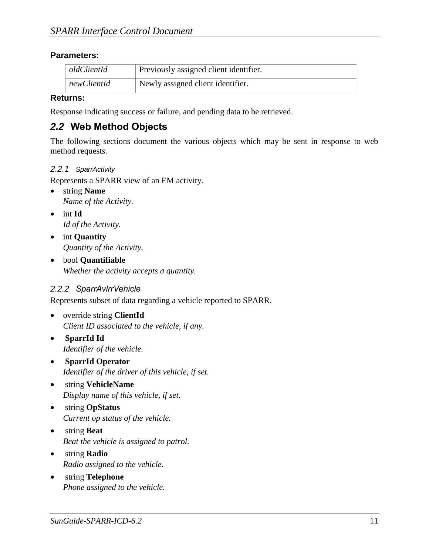## **Parameters:**

| oldClientId        | Previously assigned client identifier.         |
|--------------------|------------------------------------------------|
| $\mid$ newClientId | <sup>1</sup> Newly assigned client identifier. |

### **Returns:**

Response indicating success or failure, and pending data to be retrieved.

## <span id="page-17-0"></span>*2.2* **Web Method Objects**

The following sections document the various objects which may be sent in response to web method requests.

### <span id="page-17-1"></span>*2.2.1 SparrActivity*

Represents a SPARR view of an EM activity.

- string **Name** *Name of the Activity.*
- int **Id** *Id of the Activity.*
- int **Quantity** *Quantity of the Activity.*
- bool **Quantifiable** *Whether the activity accepts a quantity.*

## <span id="page-17-2"></span>*2.2.2 SparrAvlrrVehicle*

Represents subset of data regarding a vehicle reported to SPARR.

- override string **ClientId** *Client ID associated to the vehicle, if any.*
- **SparrId Id** *Identifier of the vehicle.*
- **SparrId Operator** *Identifier of the driver of this vehicle, if set.*
- string **VehicleName** *Display name of this vehicle, if set.*
- string **OpStatus** *Current op status of the vehicle.*
- string **Beat** *Beat the vehicle is assigned to patrol.*
- string **Radio** *Radio assigned to the vehicle.*
- string **Telephone** *Phone assigned to the vehicle.*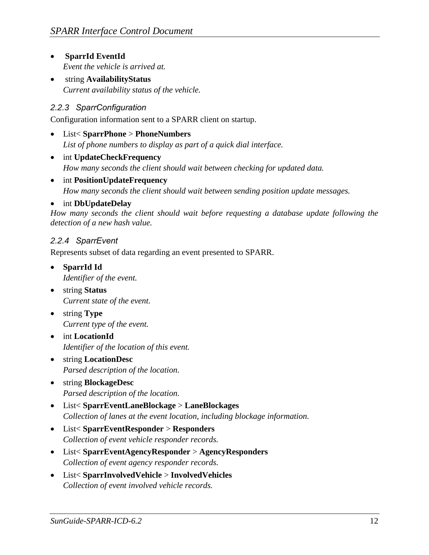- **SparrId EventId** *Event the vehicle is arrived at.*
- string **AvailabilityStatus** *Current availability status of the vehicle.*

## <span id="page-18-0"></span>*2.2.3 SparrConfiguration*

Configuration information sent to a SPARR client on startup.

- List< **SparrPhone** > **PhoneNumbers** *List of phone numbers to display as part of a quick dial interface.*
- int **UpdateCheckFrequency** *How many seconds the client should wait between checking for updated data.*
- int **PositionUpdateFrequency** *How many seconds the client should wait between sending position update messages.*

## int **DbUpdateDelay**

*How many seconds the client should wait before requesting a database update following the detection of a new hash value.*

## <span id="page-18-1"></span>*2.2.4 SparrEvent*

Represents subset of data regarding an event presented to SPARR.

- **SparrId Id** *Identifier of the event.*
- string **Status** *Current state of the event.*
- string **Type** *Current type of the event.*
- int **LocationId** *Identifier of the location of this event.*
- string **LocationDesc** *Parsed description of the location.*
- string **BlockageDesc** *Parsed description of the location.*
- List< **SparrEventLaneBlockage** > **LaneBlockages** *Collection of lanes at the event location, including blockage information.*
- List< **SparrEventResponder** > **Responders** *Collection of event vehicle responder records.*
- List< **SparrEventAgencyResponder** > **AgencyResponders** *Collection of event agency responder records.*
- List< **SparrInvolvedVehicle** > **InvolvedVehicles** *Collection of event involved vehicle records.*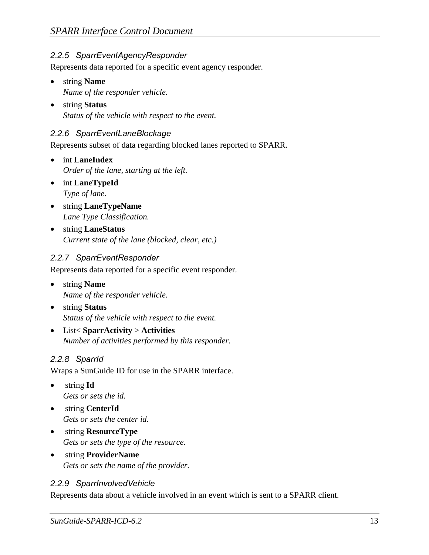## <span id="page-19-0"></span>*2.2.5 SparrEventAgencyResponder*

Represents data reported for a specific event agency responder.

- string **Name** *Name of the responder vehicle.*
- string **Status** *Status of the vehicle with respect to the event.*

## <span id="page-19-1"></span>*2.2.6 SparrEventLaneBlockage*

Represents subset of data regarding blocked lanes reported to SPARR.

- int **LaneIndex** *Order of the lane, starting at the left.*
- int **LaneTypeId** *Type of lane.*
- string **LaneTypeName** *Lane Type Classification.*
- string **LaneStatus** *Current state of the lane (blocked, clear, etc.)*

## <span id="page-19-2"></span>*2.2.7 SparrEventResponder*

Represents data reported for a specific event responder.

- string **Name** *Name of the responder vehicle.*
- string **Status** *Status of the vehicle with respect to the event.*
- List< **SparrActivity** > **Activities** *Number of activities performed by this responder.*

## <span id="page-19-3"></span>*2.2.8 SparrId*

Wraps a SunGuide ID for use in the SPARR interface.

- string **Id** *Gets or sets the id.*
- string **CenterId** *Gets or sets the center id.*
- string **ResourceType** *Gets or sets the type of the resource.*
- string **ProviderName** *Gets or sets the name of the provider.*

## <span id="page-19-4"></span>*2.2.9 SparrInvolvedVehicle*

Represents data about a vehicle involved in an event which is sent to a SPARR client.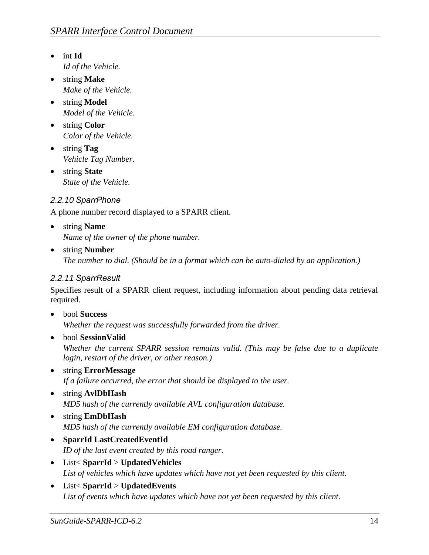- int **Id** *Id of the Vehicle.*
- string **Make** *Make of the Vehicle.*
- string **Model** *Model of the Vehicle.*
- string **Color** *Color of the Vehicle.*
- string **Tag** *Vehicle Tag Number.*
- string **State** *State of the Vehicle.*

## <span id="page-20-0"></span>*2.2.10 SparrPhone*

A phone number record displayed to a SPARR client.

- string **Name** *Name of the owner of the phone number.*
- string **Number**

*The number to dial. (Should be in a format which can be auto-dialed by an application.)* 

## <span id="page-20-1"></span>*2.2.11 SparrResult*

Specifies result of a SPARR client request, including information about pending data retrieval required.

bool **Success**

*Whether the request was successfully forwarded from the driver.* 

- bool **SessionValid** *Whether the current SPARR session remains valid. (This may be false due to a duplicate login, restart of the driver, or other reason.)*
- string **ErrorMessage** *If a failure occurred, the error that should be displayed to the user.*
- string **AvlDbHash** *MD5 hash of the currently available AVL configuration database.*
- string **EmDbHash** *MD5 hash of the currently available EM configuration database.*
- **SparrId LastCreatedEventId** *ID of the last event created by this road ranger.*
- List< **SparrId** > **UpdatedVehicles** *List of vehicles which have updates which have not yet been requested by this client.*
- List< **SparrId** > **UpdatedEvents** *List of events which have updates which have not yet been requested by this client.*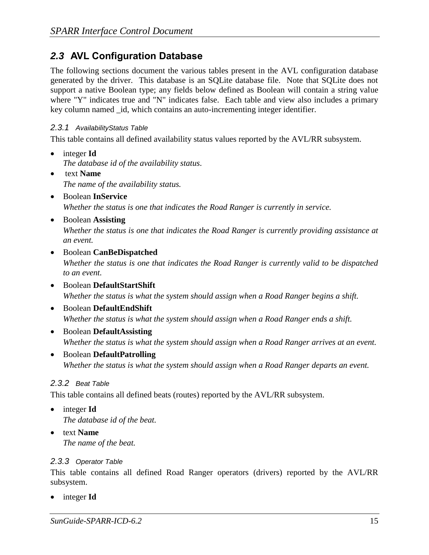## <span id="page-21-0"></span>*2.3* **AVL Configuration Database**

The following sections document the various tables present in the AVL configuration database generated by the driver. This database is an SQLite database file. Note that SQLite does not support a native Boolean type; any fields below defined as Boolean will contain a string value where "Y" indicates true and "N" indicates false. Each table and view also includes a primary key column named \_id, which contains an auto-incrementing integer identifier.

### <span id="page-21-1"></span>*2.3.1 AvailabilityStatus Table*

This table contains all defined availability status values reported by the AVL/RR subsystem.

- integer **Id** *The database id of the availability status.*
- text **Name** *The name of the availability status.*
- Boolean **InService** *Whether the status is one that indicates the Road Ranger is currently in service.*
- Boolean **Assisting** *Whether the status is one that indicates the Road Ranger is currently providing assistance at an event.*
- Boolean **CanBeDispatched** *Whether the status is one that indicates the Road Ranger is currently valid to be dispatched to an event.*
- Boolean **DefaultStartShift** *Whether the status is what the system should assign when a Road Ranger begins a shift.*
- Boolean **DefaultEndShift** *Whether the status is what the system should assign when a Road Ranger ends a shift.*
- Boolean **DefaultAssisting** *Whether the status is what the system should assign when a Road Ranger arrives at an event.*
- Boolean **DefaultPatrolling** *Whether the status is what the system should assign when a Road Ranger departs an event.*

## <span id="page-21-2"></span>*2.3.2 Beat Table*

This table contains all defined beats (routes) reported by the AVL/RR subsystem.

- integer **Id** *The database id of the beat.*
- text **Name** *The name of the beat.*

## <span id="page-21-3"></span>*2.3.3 Operator Table*

This table contains all defined Road Ranger operators (drivers) reported by the AVL/RR subsystem.

integer **Id**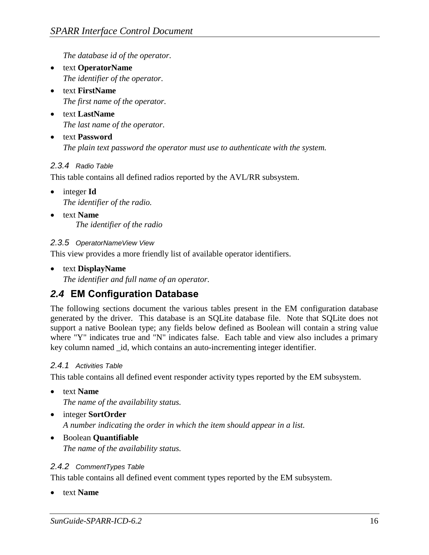*The database id of the operator.* 

- text **OperatorName** *The identifier of the operator.*
- text **FirstName** *The first name of the operator.*
- text **LastName** *The last name of the operator.*
- text **Password** *The plain text password the operator must use to authenticate with the system.*

## <span id="page-22-0"></span>*2.3.4 Radio Table*

This table contains all defined radios reported by the AVL/RR subsystem.

- integer **Id** *The identifier of the radio.*
- text **Name** *The identifier of the radio*

### <span id="page-22-1"></span>*2.3.5 OperatorNameView View*

This view provides a more friendly list of available operator identifiers.

text **DisplayName**

*The identifier and full name of an operator.* 

## <span id="page-22-2"></span>*2.4* **EM Configuration Database**

The following sections document the various tables present in the EM configuration database generated by the driver. This database is an SQLite database file. Note that SQLite does not support a native Boolean type; any fields below defined as Boolean will contain a string value where "Y" indicates true and "N" indicates false. Each table and view also includes a primary key column named \_id, which contains an auto-incrementing integer identifier.

#### <span id="page-22-3"></span>*2.4.1 Activities Table*

This table contains all defined event responder activity types reported by the EM subsystem.

text **Name**

*The name of the availability status.* 

- integer **SortOrder** *A number indicating the order in which the item should appear in a list.*
- Boolean **Quantifiable** *The name of the availability status.*

## <span id="page-22-4"></span>*2.4.2 CommentTypes Table*

This table contains all defined event comment types reported by the EM subsystem.

text **Name**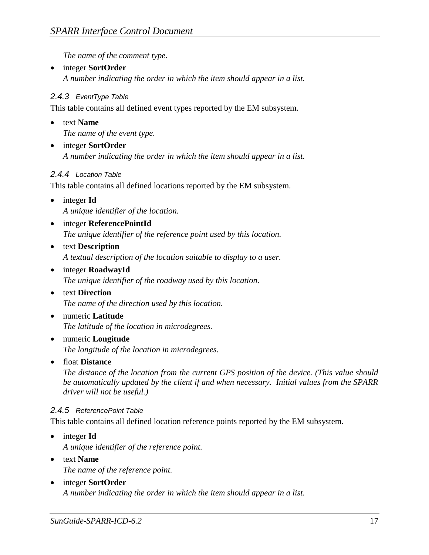*The name of the comment type.* 

 integer **SortOrder** *A number indicating the order in which the item should appear in a list.*

## <span id="page-23-0"></span>*2.4.3 EventType Table*

This table contains all defined event types reported by the EM subsystem.

text **Name**

*The name of the event type.* 

 integer **SortOrder** *A number indicating the order in which the item should appear in a list.*

### <span id="page-23-1"></span>*2.4.4 Location Table*

This table contains all defined locations reported by the EM subsystem.

- integer **Id** *A unique identifier of the location.*
- integer **ReferencePointId** *The unique identifier of the reference point used by this location.*
- text **Description** *A textual description of the location suitable to display to a user.*
- integer **RoadwayId** *The unique identifier of the roadway used by this location.*
- text **Direction** *The name of the direction used by this location.*
- numeric **Latitude** *The latitude of the location in microdegrees.*
- numeric **Longitude** *The longitude of the location in microdegrees.*
- float **Distance**

*The distance of the location from the current GPS position of the device. (This value should be automatically updated by the client if and when necessary. Initial values from the SPARR driver will not be useful.)*

#### <span id="page-23-2"></span>*2.4.5 ReferencePoint Table*

This table contains all defined location reference points reported by the EM subsystem.

- integer **Id** *A unique identifier of the reference point.*
- text **Name** *The name of the reference point.*
- integer **SortOrder** *A number indicating the order in which the item should appear in a list.*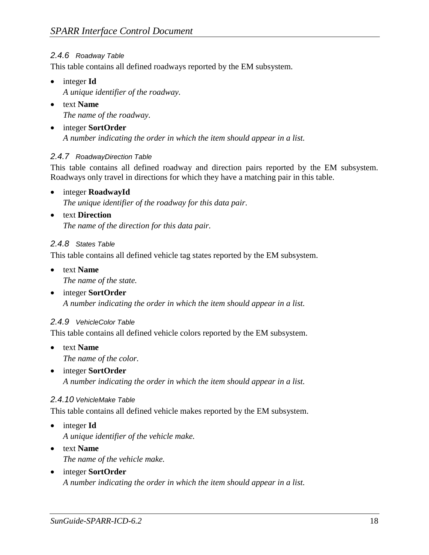## <span id="page-24-0"></span>*2.4.6 Roadway Table*

This table contains all defined roadways reported by the EM subsystem.

- integer **Id** *A unique identifier of the roadway.*
- text **Name** *The name of the roadway.*
- integer **SortOrder** *A number indicating the order in which the item should appear in a list.*

## <span id="page-24-1"></span>*2.4.7 RoadwayDirection Table*

This table contains all defined roadway and direction pairs reported by the EM subsystem. Roadways only travel in directions for which they have a matching pair in this table.

integer **RoadwayId**

*The unique identifier of the roadway for this data pair.* 

text **Direction**

*The name of the direction for this data pair.*

### <span id="page-24-2"></span>*2.4.8 States Table*

This table contains all defined vehicle tag states reported by the EM subsystem.

- text **Name** *The name of the state.*
- integer **SortOrder** *A number indicating the order in which the item should appear in a list.*

## <span id="page-24-3"></span>*2.4.9 VehicleColor Table*

This table contains all defined vehicle colors reported by the EM subsystem.

- text **Name** *The name of the color.*
- integer **SortOrder** *A number indicating the order in which the item should appear in a list.*

## <span id="page-24-4"></span>*2.4.10 VehicleMake Table*

This table contains all defined vehicle makes reported by the EM subsystem.

- integer **Id** *A unique identifier of the vehicle make.*
- text **Name** *The name of the vehicle make.*
- integer **SortOrder** *A number indicating the order in which the item should appear in a list.*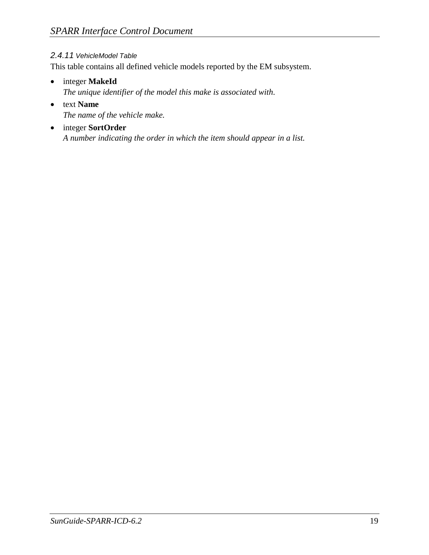## <span id="page-25-0"></span>*2.4.11 VehicleModel Table*

This table contains all defined vehicle models reported by the EM subsystem.

- integer **MakeId** *The unique identifier of the model this make is associated with.*
- text **Name** *The name of the vehicle make.*
- integer **SortOrder** *A number indicating the order in which the item should appear in a list.*